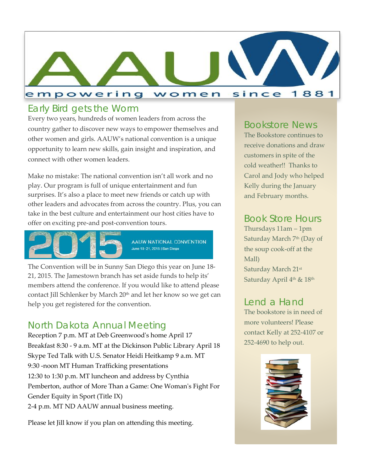

## *Early Bird gets the Worm*

Every two years, hundreds of women leaders from across the country gather to discover new ways to empower themselves and other women and girls. AAUW's national convention is a unique opportunity to learn new skills, gain insight and inspiration, and connect with other women leaders.

Make no mistake: The national convention isn't all work and no play. Our program is full of unique entertainment and fun surprises. It's also a place to meet new friends or catch up with other leaders and advocates from across the country. Plus, you can take in the best culture and entertainment our host cities have to offer on exciting pre-and post-convention tours.



AAUW NATIONAL CONVENTION June 18-21, 2015 | San Diego

The Convention will be in Sunny San Diego this year on June 18- 21, 2015. The Jamestown branch has set aside funds to help its' members attend the conference. If you would like to attend please contact Jill Schlenker by March 20<sup>th</sup> and let her know so we get can help you get registered for the convention.

## *North Dakota Annual Meeting*

Reception 7 p.m. MT at Deb Greenwood's home April 17 Breakfast 8:30 - 9 a.m. MT at the Dickinson Public Library April 18 Skype Ted Talk with U.S. Senator Heidi Heitkamp 9 a.m. MT 9:30 -noon MT Human Trafficking presentations 12:30 to 1:30 p.m. MT luncheon and address by Cynthia Pemberton, author of More Than a Game: One Woman's Fight For Gender Equity in Sport (Title IX) 2-4 p.m. MT ND AAUW annual business meeting.

Please let Jill know if you plan on attending this meeting.

#### *Bookstore News*

The Bookstore continues to receive donations and draw customers in spite of the cold weather!! Thanks to Carol and Jody who helped Kelly during the January and February months.

### *Book Store Hours*

Thursdays 11am – 1pm Saturday March 7<sup>th</sup> (Day of the soup cook-off at the Mall) Saturday March 21st Saturday April 4<sup>th</sup> & 18<sup>th</sup>

## *Lend a Hand*

The bookstore is in need of more volunteers! Please contact Kelly at 252-4107 or 252-4690 to help out.